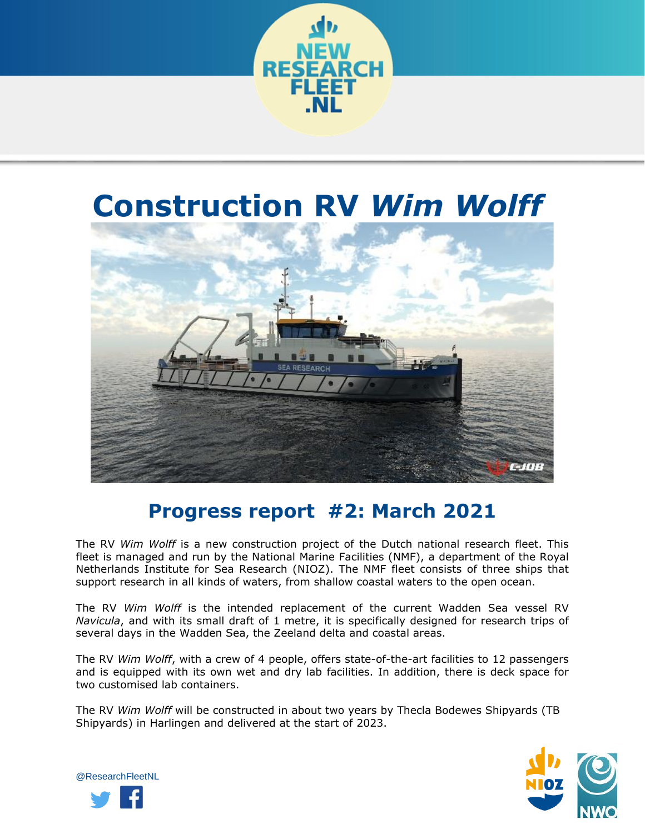

## **Construction RV** *Wim Wolff*



## **Progress report #2: March 2021**

The RV *Wim Wolff* is a new construction project of the Dutch national research fleet. This fleet is managed and run by the National Marine Facilities (NMF), a department of the Royal Netherlands Institute for Sea Research (NIOZ). The NMF fleet consists of three ships that support research in all kinds of waters, from shallow coastal waters to the open ocean.

The RV *Wim Wolff* is the intended replacement of the current Wadden Sea vessel RV *Navicula*, and with its small draft of 1 metre, it is specifically designed for research trips of several days in the Wadden Sea, the Zeeland delta and coastal areas.

The RV *Wim Wolff*, with a crew of 4 people, offers state-of-the-art facilities to 12 passengers and is equipped with its own wet and dry lab facilities. In addition, there is deck space for two customised lab containers.

The RV *Wim Wolff* will be constructed in about two years by Thecla Bodewes Shipyards (TB Shipyards) in Harlingen and delivered at the start of 2023.



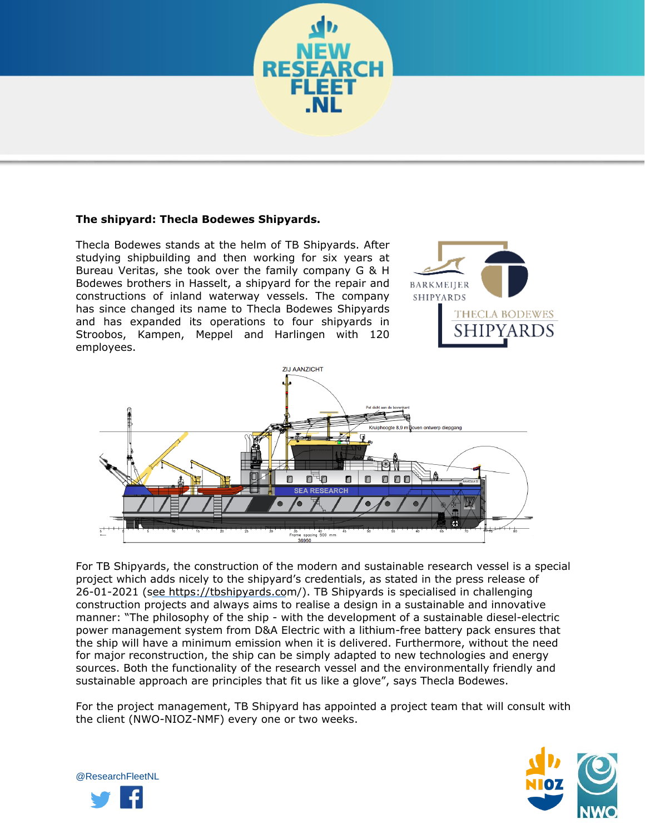

Thecla Bodewes stands at the helm of TB Shipyards. After studying shipbuilding and then working for six years at Bureau Veritas, she took over the family company G & H Bodewes brothers in Hasselt, a shipyard for the repair and constructions of inland waterway vessels. The company has since changed its name to Thecla Bodewes Shipyards and has expanded its operations to four shipyards in Stroobos, Kampen, Meppel and Harlingen with 120 employees.





For TB Shipyards, the construction of the modern and sustainable research vessel is a special project which adds nicely to the shipyard's credentials, as stated in the press release of 26-01-2021 (see https://tbshipyards.com/). TB Shipyards is specialised in challenging construction projects and always aims to realise a design in a sustainable and innovative manner: "The philosophy of the ship - with the development of a sustainable diesel-electric power management system from D&A Electric with a lithium-free battery pack ensures that the ship will have a minimum emission when it is delivered. Furthermore, without the need for major reconstruction, the ship can be simply adapted to new technologies and energy sources. Both the functionality of the research vessel and the environmentally friendly and sustainable approach are principles that fit us like a glove", says Thecla Bodewes.

For the project management, TB Shipyard has appointed a project team that will consult with the client (NWO-NIOZ-NMF) every one or two weeks.



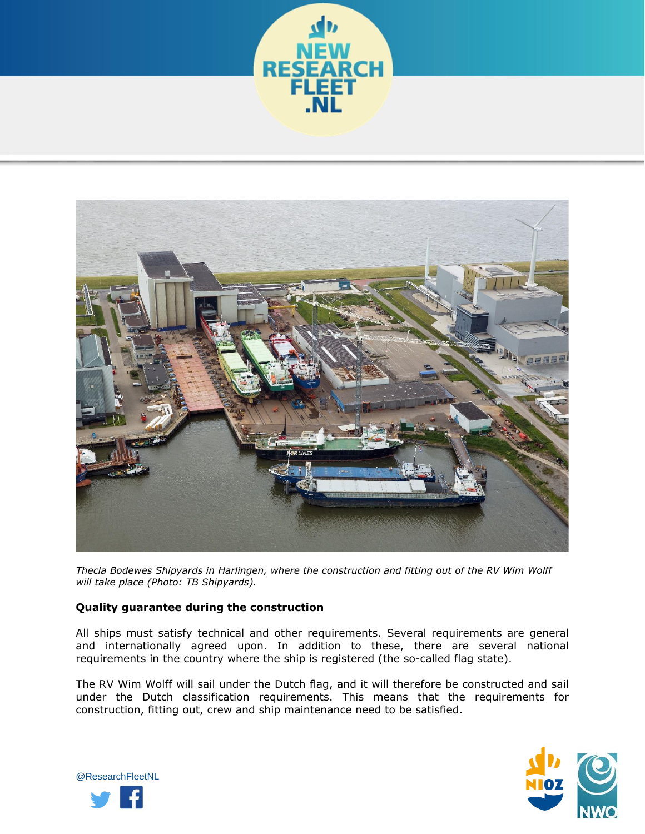



*Thecla Bodewes Shipyards in Harlingen, where the construction and fitting out of the RV Wim Wolff will take place (Photo: TB Shipyards).* 

## **Quality guarantee during the construction**

All ships must satisfy technical and other requirements. Several requirements are general and internationally agreed upon. In addition to these, there are several national requirements in the country where the ship is registered (the so-called flag state).

The RV Wim Wolff will sail under the Dutch flag, and it will therefore be constructed and sail under the Dutch classification requirements. This means that the requirements for construction, fitting out, crew and ship maintenance need to be satisfied.



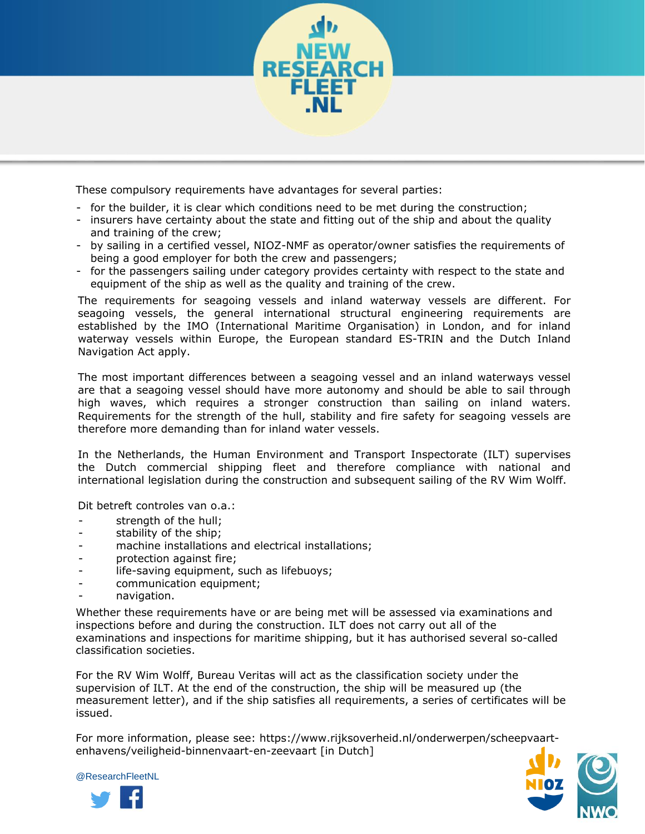

These compulsory requirements have advantages for several parties:

- for the builder, it is clear which conditions need to be met during the construction;
- insurers have certainty about the state and fitting out of the ship and about the quality and training of the crew;
- by sailing in a certified vessel, NIOZ-NMF as operator/owner satisfies the requirements of being a good employer for both the crew and passengers;
- for the passengers sailing under category provides certainty with respect to the state and equipment of the ship as well as the quality and training of the crew.

The requirements for seagoing vessels and inland waterway vessels are different. For seagoing vessels, the general international structural engineering requirements are established by the IMO (International Maritime Organisation) in London, and for inland waterway vessels within Europe, the European standard ES-TRIN and the Dutch Inland Navigation Act apply.

The most important differences between a seagoing vessel and an inland waterways vessel are that a seagoing vessel should have more autonomy and should be able to sail through high waves, which requires a stronger construction than sailing on inland waters. Requirements for the strength of the hull, stability and fire safety for seagoing vessels are therefore more demanding than for inland water vessels.

In the Netherlands, the Human Environment and Transport Inspectorate (ILT) supervises the Dutch commercial shipping fleet and therefore compliance with national and international legislation during the construction and subsequent sailing of the RV Wim Wolff.

Dit betreft controles van o.a.:

- strength of the hull;
- stability of the ship;
- machine installations and electrical installations;
- protection against fire;
- life-saving equipment, such as lifebuoys;
- communication equipment;
- navigation.

Whether these requirements have or are being met will be assessed via examinations and inspections before and during the construction. ILT does not carry out all of the examinations and inspections for maritime shipping, but it has authorised several so-called classification societies.

For the RV Wim Wolff, Bureau Veritas will act as the classification society under the supervision of ILT. At the end of the construction, the ship will be measured up (the measurement letter), and if the ship satisfies all requirements, a series of certificates will be issued.

[For more information, please see: https://w](https://www.rijksoverheid.nl/onderwerpen/scheepvaart-en-havens/veiligheid-binnenvaart-en-zeevaart)ww.rijksoverheid.nl/onderwerpen/scheepvaartenhavens/veiligheid-binnenvaart-en-zeevaart [in Dutch]